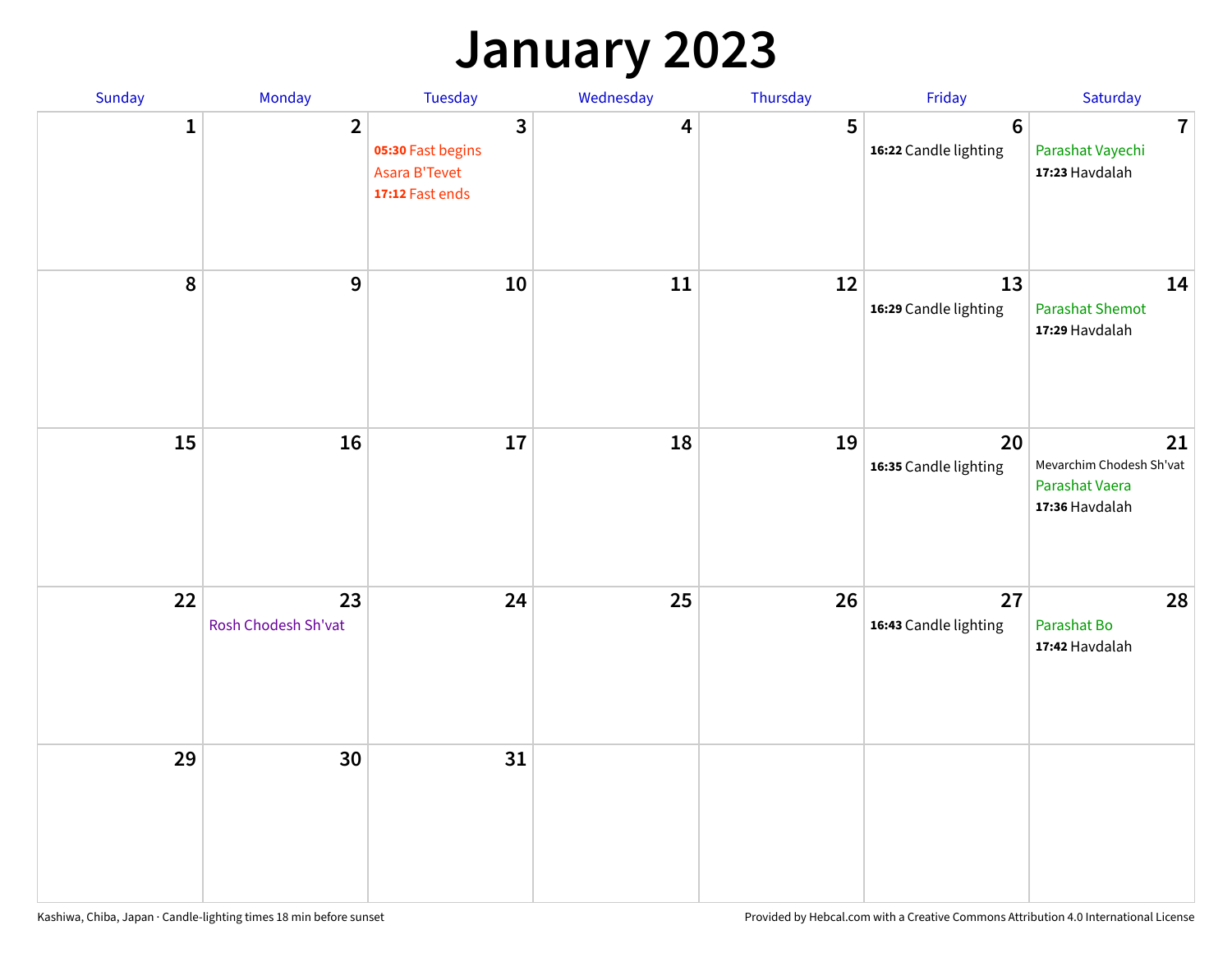### **January 2023**

| Sunday           | Monday                    | Tuesday                                                                                 | Wednesday | Thursday | Friday                                   | Saturday                                                           |
|------------------|---------------------------|-----------------------------------------------------------------------------------------|-----------|----------|------------------------------------------|--------------------------------------------------------------------|
| 1                | $\overline{2}$            | $\overline{\mathbf{3}}$<br>05:30 Fast begins<br><b>Asara B'Tevet</b><br>17:12 Fast ends | 4         | 5        | $6\phantom{1}6$<br>16:22 Candle lighting | $\overline{7}$<br>Parashat Vayechi<br>17:23 Havdalah               |
| $\boldsymbol{8}$ | $\boldsymbol{9}$          | 10                                                                                      | 11        | 12       | 13<br>16:29 Candle lighting              | 14<br><b>Parashat Shemot</b><br>17:29 Havdalah                     |
| 15               | 16                        | 17                                                                                      | 18        | 19       | 20<br>16:35 Candle lighting              | 21<br>Mevarchim Chodesh Sh'vat<br>Parashat Vaera<br>17:36 Havdalah |
| 22               | 23<br>Rosh Chodesh Sh'vat | 24                                                                                      | 25        | 26       | 27<br>16:43 Candle lighting              | 28<br>Parashat Bo<br>17:42 Havdalah                                |
| 29               | 30                        | 31                                                                                      |           |          |                                          |                                                                    |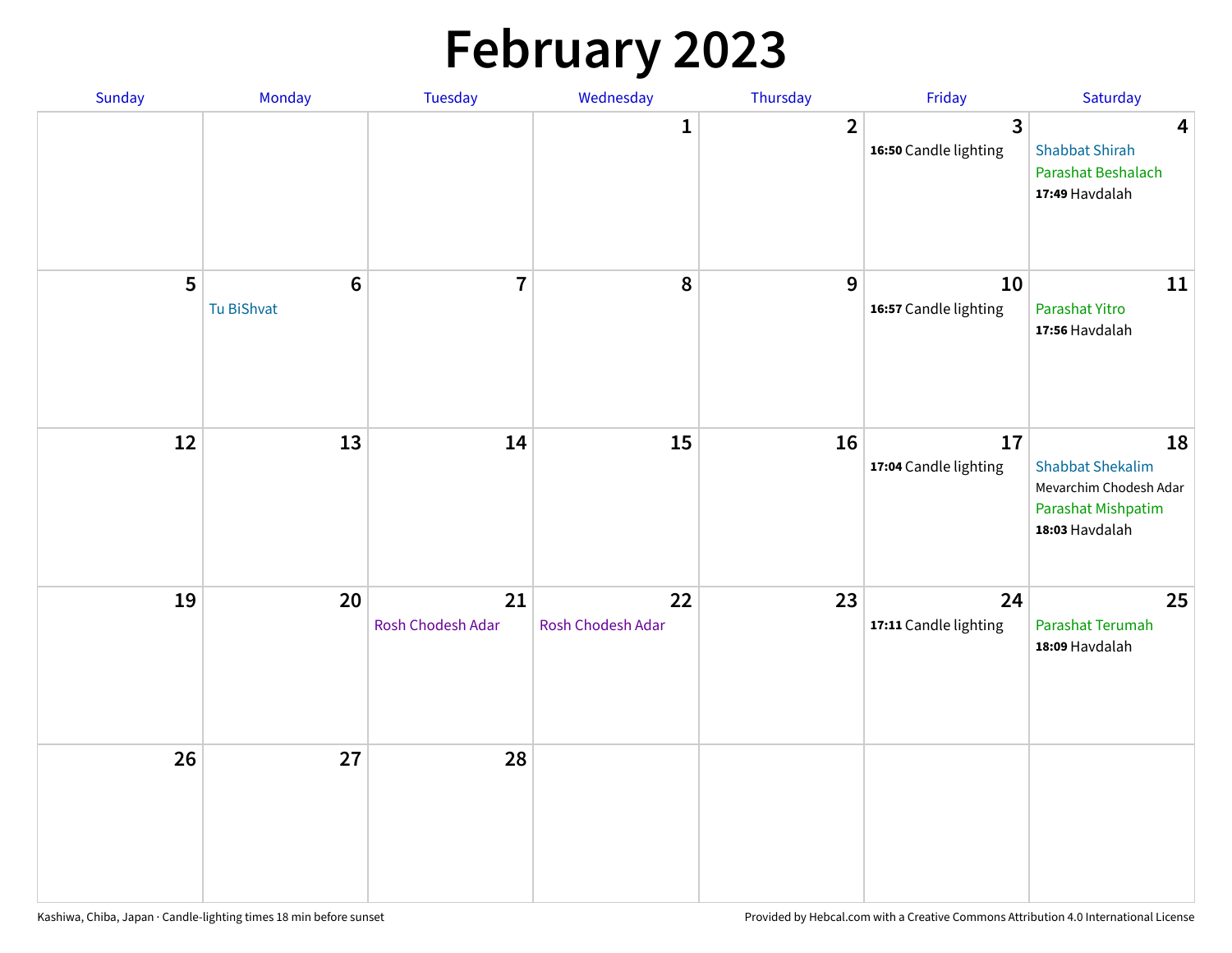# **February 2023**

| Sunday | Monday                        | Tuesday                 | Wednesday               | Thursday       | Friday                                  | Saturday                                                                                        |
|--------|-------------------------------|-------------------------|-------------------------|----------------|-----------------------------------------|-------------------------------------------------------------------------------------------------|
|        |                               |                         | 1                       | $\overline{2}$ | $\overline{3}$<br>16:50 Candle lighting | $\overline{\mathbf{4}}$<br><b>Shabbat Shirah</b><br>Parashat Beshalach<br>17:49 Havdalah        |
| 5      | $6\phantom{1}6$<br>Tu BiShvat | $\overline{7}$          | 8                       | 9              | 10<br>16:57 Candle lighting             | 11<br>Parashat Yitro<br>17:56 Havdalah                                                          |
| 12     | 13                            | 14                      | 15                      | 16             | 17<br>17:04 Candle lighting             | 18<br><b>Shabbat Shekalim</b><br>Mevarchim Chodesh Adar<br>Parashat Mishpatim<br>18:03 Havdalah |
| 19     | 20                            | 21<br>Rosh Chodesh Adar | 22<br>Rosh Chodesh Adar | 23             | 24<br>17:11 Candle lighting             | 25<br>Parashat Terumah<br>18:09 Havdalah                                                        |
| 26     | 27                            | 28                      |                         |                |                                         |                                                                                                 |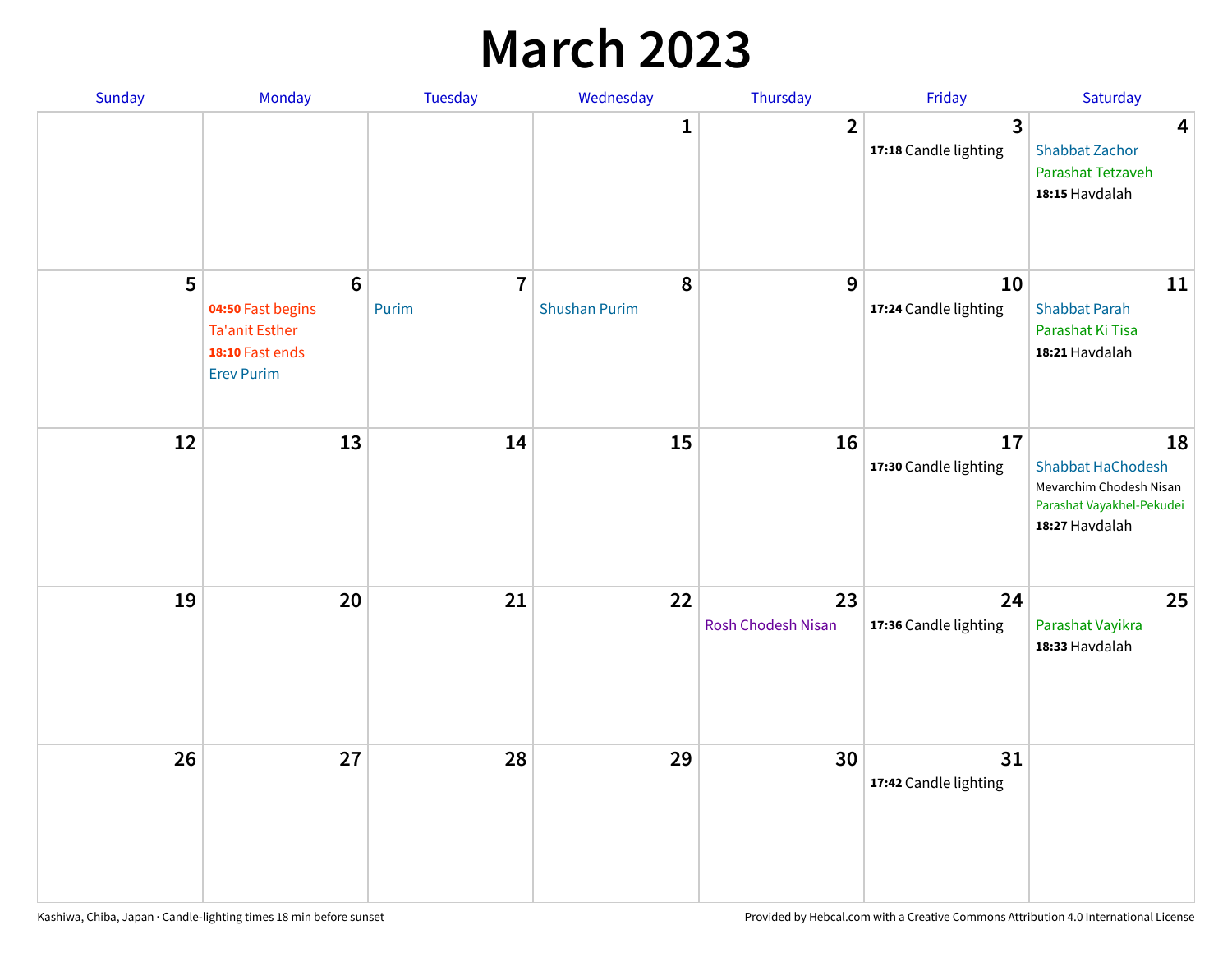### **March 2023**

| Sunday | Monday                                                                                                | Tuesday                 | Wednesday                 | Thursday                 | Friday                      | Saturday                                                                                                 |
|--------|-------------------------------------------------------------------------------------------------------|-------------------------|---------------------------|--------------------------|-----------------------------|----------------------------------------------------------------------------------------------------------|
|        |                                                                                                       |                         | 1                         | $\overline{2}$           | 3<br>17:18 Candle lighting  | $\overline{\mathbf{4}}$<br><b>Shabbat Zachor</b><br>Parashat Tetzaveh<br>18:15 Havdalah                  |
| 5      | $6\phantom{1}6$<br>04:50 Fast begins<br><b>Ta'anit Esther</b><br>18:10 Fast ends<br><b>Erev Purim</b> | $\overline{7}$<br>Purim | 8<br><b>Shushan Purim</b> | 9                        | 10<br>17:24 Candle lighting | 11<br><b>Shabbat Parah</b><br>Parashat Ki Tisa<br>18:21 Havdalah                                         |
| 12     | 13                                                                                                    | 14                      | 15                        | 16                       | 17<br>17:30 Candle lighting | 18<br><b>Shabbat HaChodesh</b><br>Mevarchim Chodesh Nisan<br>Parashat Vayakhel-Pekudei<br>18:27 Havdalah |
| 19     | 20                                                                                                    | 21                      | 22                        | 23<br>Rosh Chodesh Nisan | 24<br>17:36 Candle lighting | 25<br>Parashat Vayikra<br>18:33 Havdalah                                                                 |
| 26     | 27                                                                                                    | 28                      | 29                        | 30                       | 31<br>17:42 Candle lighting |                                                                                                          |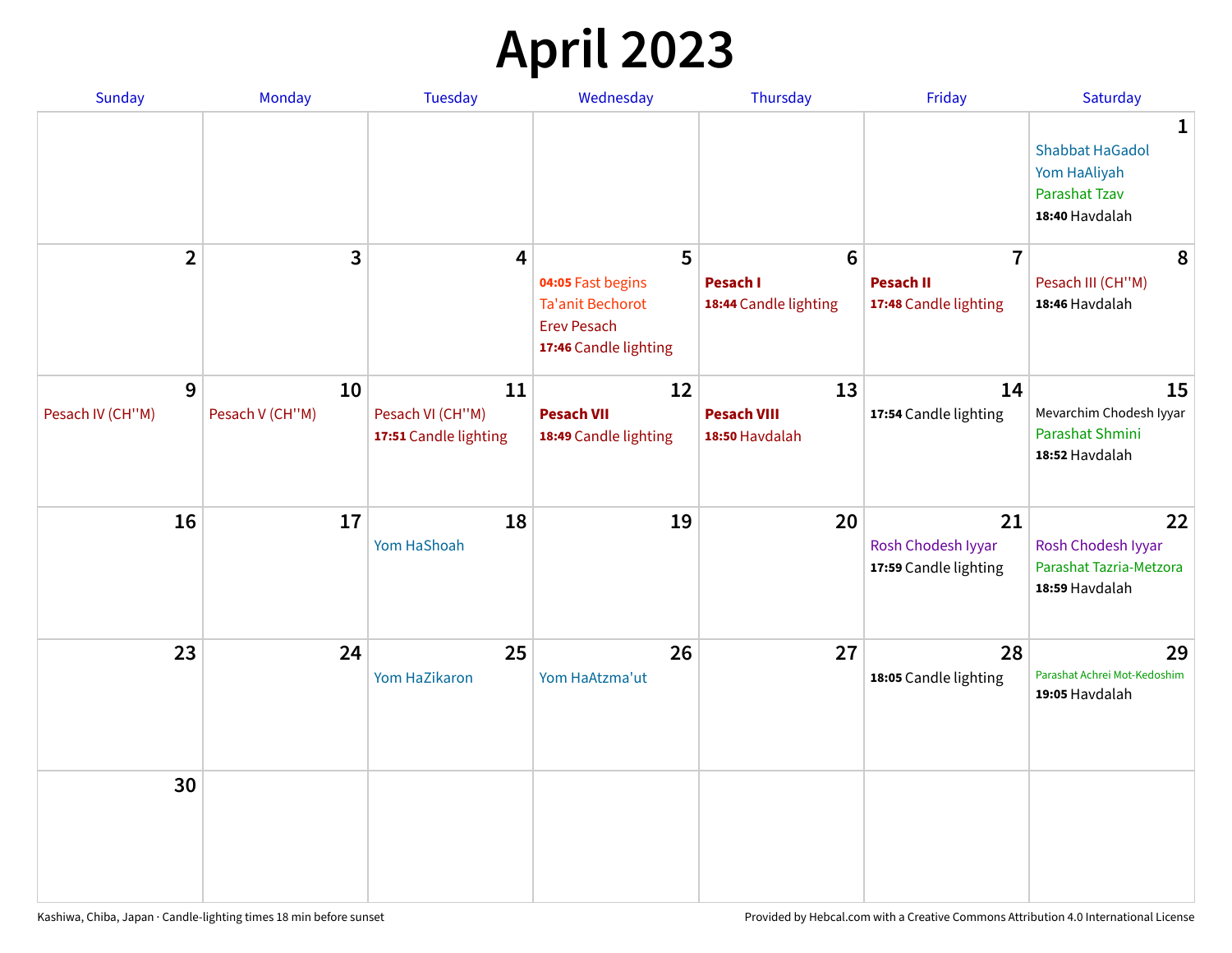## **April 2023**

| Sunday                | Monday                | <b>Tuesday</b>                                  | Wednesday                                                                                   | Thursday                                   | Friday                                            | Saturday                                                                                         |
|-----------------------|-----------------------|-------------------------------------------------|---------------------------------------------------------------------------------------------|--------------------------------------------|---------------------------------------------------|--------------------------------------------------------------------------------------------------|
|                       |                       |                                                 |                                                                                             |                                            |                                                   | $\mathbf{1}$<br><b>Shabbat HaGadol</b><br>Yom HaAliyah<br><b>Parashat Tzav</b><br>18:40 Havdalah |
| $\overline{2}$        | 3                     | 4                                               | 5                                                                                           | 6                                          | $\overline{7}$                                    | 8                                                                                                |
|                       |                       |                                                 | 04:05 Fast begins<br><b>Ta'anit Bechorot</b><br><b>Erev Pesach</b><br>17:46 Candle lighting | <b>Pesach I</b><br>18:44 Candle lighting   | <b>Pesach II</b><br>17:48 Candle lighting         | Pesach III (CH"M)<br>18:46 Havdalah                                                              |
| 9<br>Pesach IV (CH"M) | 10<br>Pesach V (CH"M) | 11<br>Pesach VI (CH"M)<br>17:51 Candle lighting | 12<br><b>Pesach VII</b><br>18:49 Candle lighting                                            | 13<br><b>Pesach VIII</b><br>18:50 Havdalah | 14<br>17:54 Candle lighting                       | 15<br>Mevarchim Chodesh Iyyar<br>Parashat Shmini<br>18:52 Havdalah                               |
| 16                    | 17                    | 18<br>Yom HaShoah                               | 19                                                                                          | 20                                         | 21<br>Rosh Chodesh Iyyar<br>17:59 Candle lighting | 22<br>Rosh Chodesh Iyyar<br>Parashat Tazria-Metzora<br>18:59 Havdalah                            |
| 23                    | 24                    | 25<br>Yom HaZikaron                             | 26<br>Yom HaAtzma'ut                                                                        | 27                                         | 28<br>18:05 Candle lighting                       | 29<br>Parashat Achrei Mot-Kedoshim<br>19:05 Havdalah                                             |
| 30                    |                       |                                                 |                                                                                             |                                            |                                                   |                                                                                                  |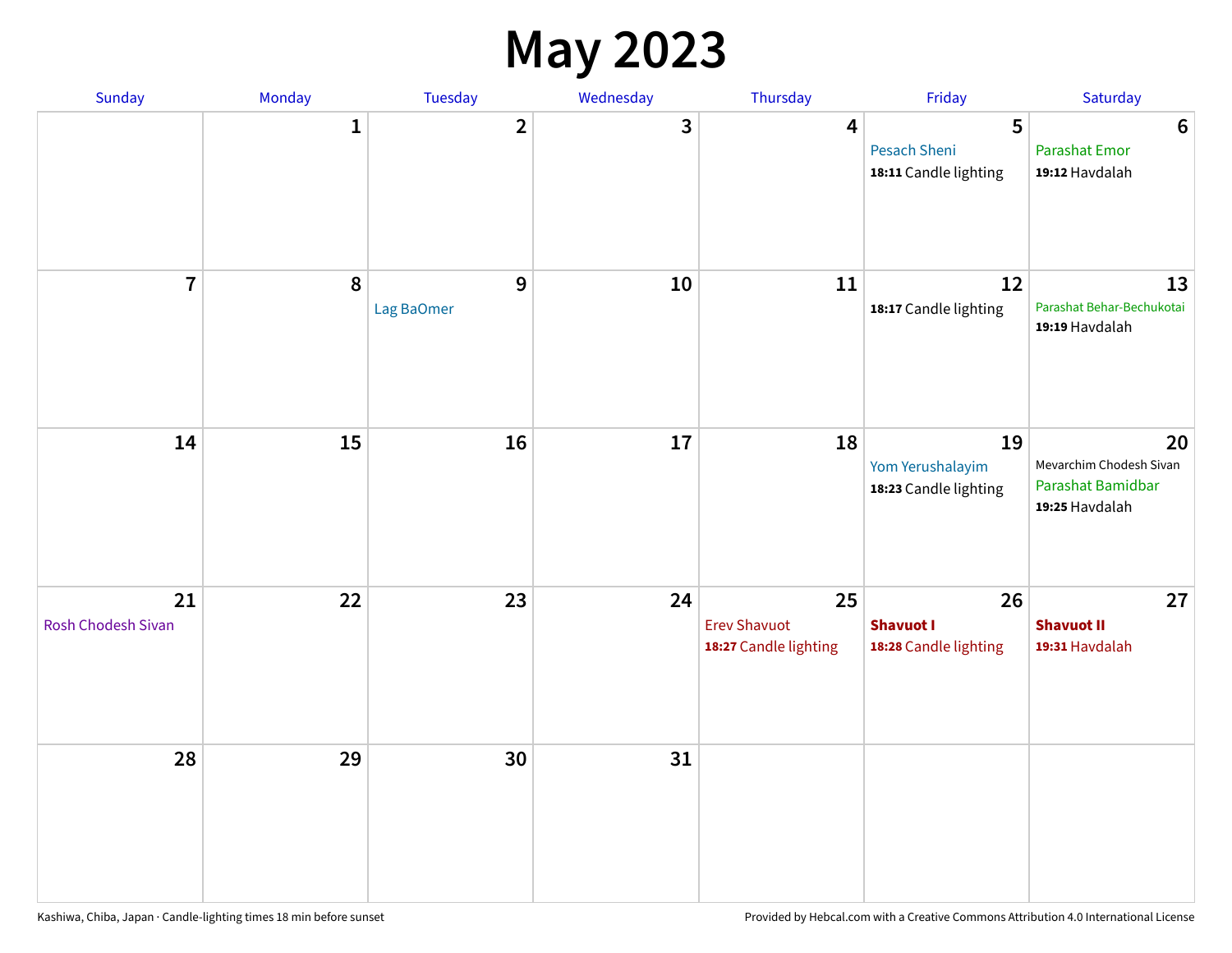#### **May 2023**

| Sunday                   | Monday       | Tuesday                        | Wednesday | Thursday                                           | Friday                                            | Saturday                                                             |
|--------------------------|--------------|--------------------------------|-----------|----------------------------------------------------|---------------------------------------------------|----------------------------------------------------------------------|
|                          | $\mathbf{1}$ | $\overline{\mathbf{2}}$        | 3         | $\overline{\mathbf{4}}$                            | 5<br><b>Pesach Sheni</b><br>18:11 Candle lighting | $\boldsymbol{6}$<br><b>Parashat Emor</b><br>19:12 Havdalah           |
| $\overline{7}$           | $\pmb{8}$    | $\boldsymbol{9}$<br>Lag BaOmer | 10        | 11                                                 | 12<br>18:17 Candle lighting                       | 13<br>Parashat Behar-Bechukotai<br>19:19 Havdalah                    |
| 14                       | 15           | 16                             | 17        | 18                                                 | 19<br>Yom Yerushalayim<br>18:23 Candle lighting   | 20<br>Mevarchim Chodesh Sivan<br>Parashat Bamidbar<br>19:25 Havdalah |
| 21<br>Rosh Chodesh Sivan | 22           | 23                             | 24        | 25<br><b>Erev Shavuot</b><br>18:27 Candle lighting | 26<br><b>Shavuot I</b><br>18:28 Candle lighting   | 27<br><b>Shavuot II</b><br>19:31 Havdalah                            |
| 28                       | 29           | 30                             | 31        |                                                    |                                                   |                                                                      |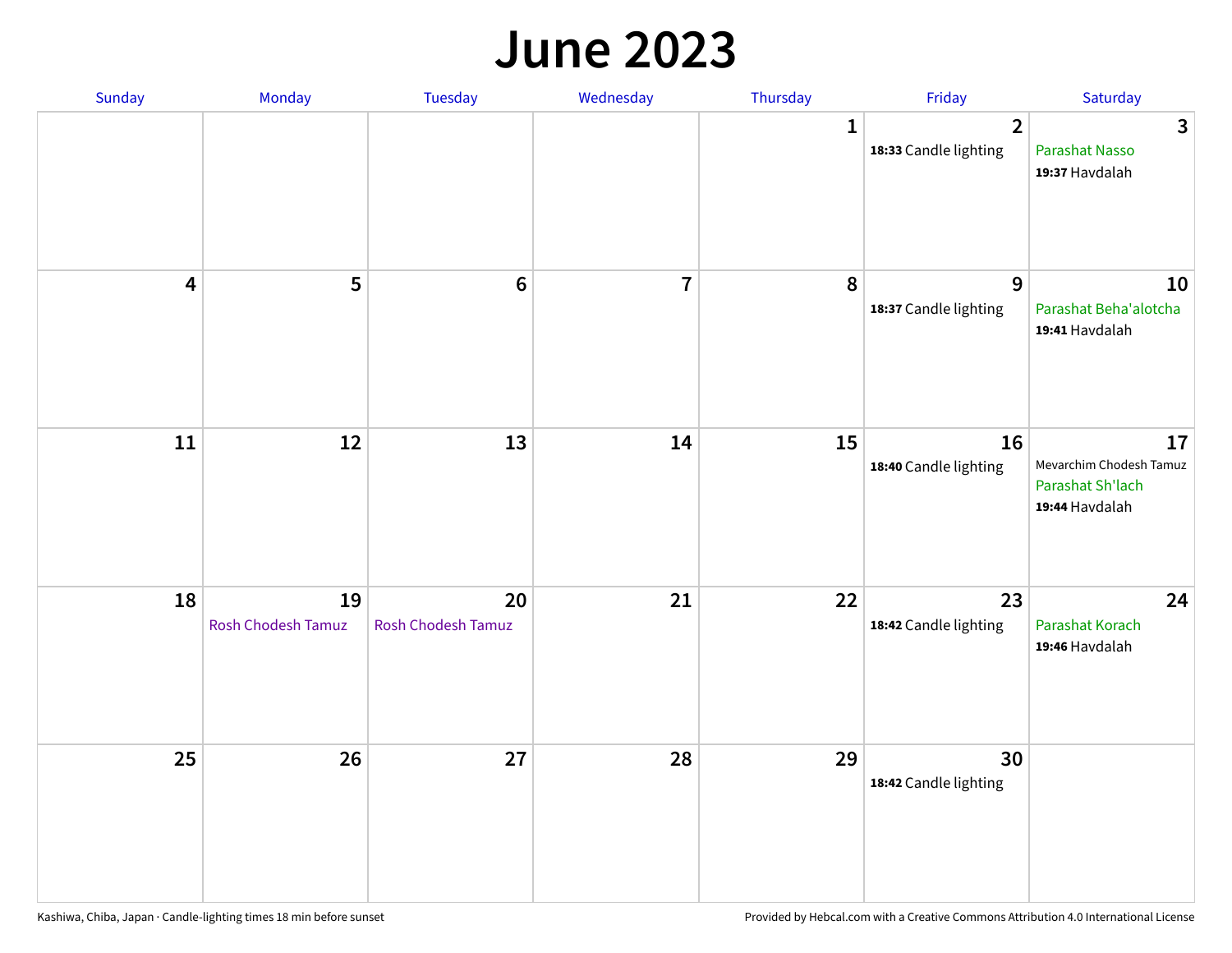#### **June 2023**

| Sunday                  | Monday                   | Tuesday                         | Wednesday      | Thursday     | Friday                                  | Saturday                                                            |
|-------------------------|--------------------------|---------------------------------|----------------|--------------|-----------------------------------------|---------------------------------------------------------------------|
|                         |                          |                                 |                | $\mathbf{1}$ | $\overline{2}$<br>18:33 Candle lighting | $\mathbf{3}$<br>Parashat Nasso<br>19:37 Havdalah                    |
| $\overline{\mathbf{4}}$ | 5                        | $6\phantom{1}6$                 | $\overline{7}$ | 8            | 9<br>18:37 Candle lighting              | 10<br>Parashat Beha'alotcha<br>19:41 Havdalah                       |
| 11                      | 12                       | 13                              | 14             | 15           | 16<br>18:40 Candle lighting             | 17<br>Mevarchim Chodesh Tamuz<br>Parashat Sh'lach<br>19:44 Havdalah |
| 18                      | 19<br>Rosh Chodesh Tamuz | 20<br><b>Rosh Chodesh Tamuz</b> | 21             | 22           | 23<br>18:42 Candle lighting             | 24<br>Parashat Korach<br>19:46 Havdalah                             |
| 25                      | 26                       | 27                              | 28             | 29           | 30<br>18:42 Candle lighting             |                                                                     |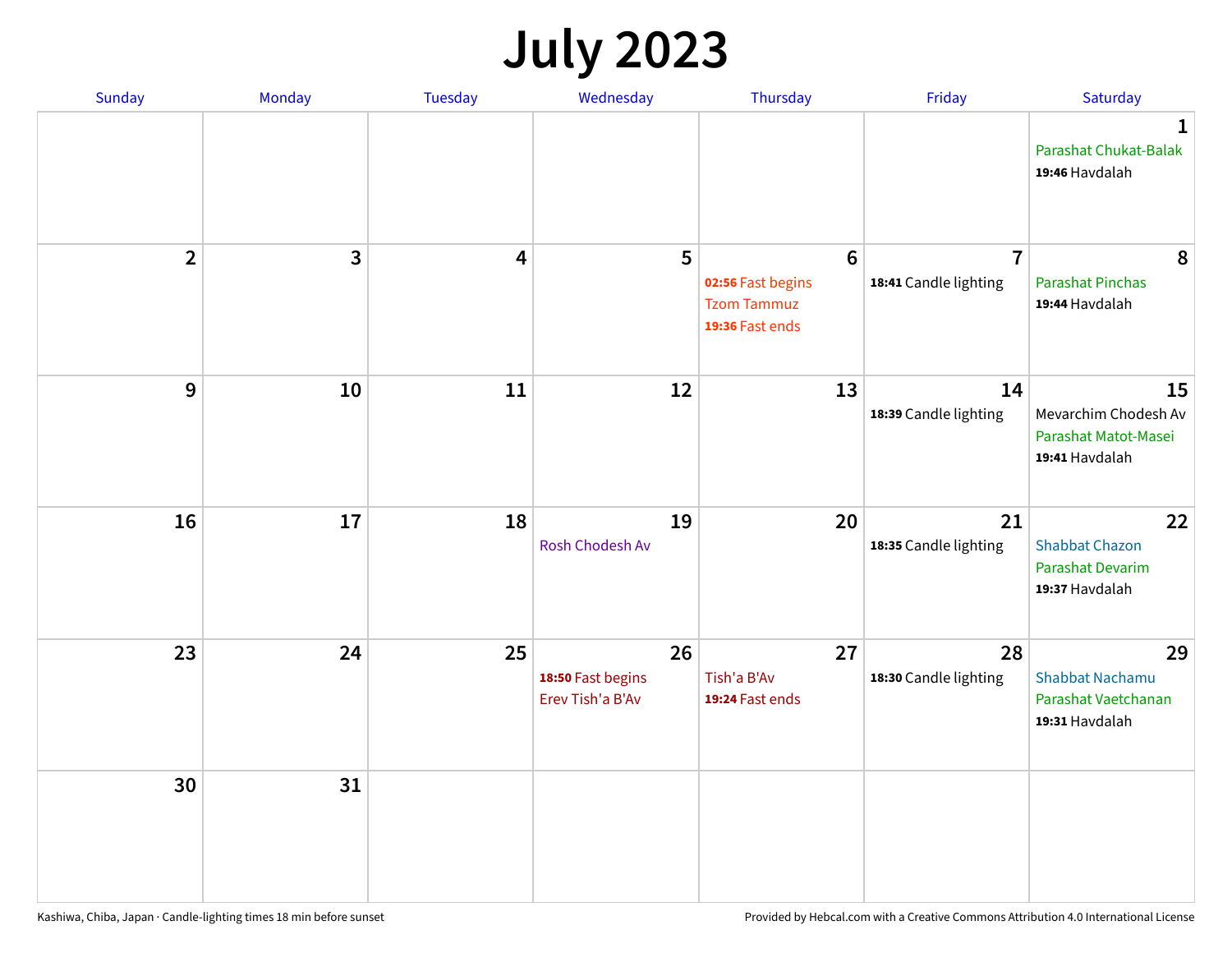## **July 2023**

| Sunday         | Monday       | <b>Tuesday</b>          | Wednesday                                   | Thursday                                                                      | Friday                                  | Saturday                                                              |
|----------------|--------------|-------------------------|---------------------------------------------|-------------------------------------------------------------------------------|-----------------------------------------|-----------------------------------------------------------------------|
|                |              |                         |                                             |                                                                               |                                         | $\mathbf 1$<br>Parashat Chukat-Balak<br>19:46 Havdalah                |
| $\overline{2}$ | $\mathbf{3}$ | $\overline{\mathbf{4}}$ | 5                                           | $6\phantom{1}6$<br>02:56 Fast begins<br><b>Tzom Tammuz</b><br>19:36 Fast ends | $\overline{7}$<br>18:41 Candle lighting | 8<br><b>Parashat Pinchas</b><br>19:44 Havdalah                        |
| 9              | 10           | 11                      | 12                                          | 13                                                                            | 14<br>18:39 Candle lighting             | 15<br>Mevarchim Chodesh Av<br>Parashat Matot-Masei<br>19:41 Havdalah  |
| 16             | 17           | 18                      | 19<br>Rosh Chodesh Av                       | 20                                                                            | 21<br>18:35 Candle lighting             | 22<br><b>Shabbat Chazon</b><br>Parashat Devarim<br>19:37 Havdalah     |
| 23             | 24           | 25                      | 26<br>18:50 Fast begins<br>Erev Tish'a B'Av | 27<br>Tish'a B'Av<br>19:24 Fast ends                                          | 28<br>18:30 Candle lighting             | 29<br><b>Shabbat Nachamu</b><br>Parashat Vaetchanan<br>19:31 Havdalah |
| 30             | 31           |                         |                                             |                                                                               |                                         |                                                                       |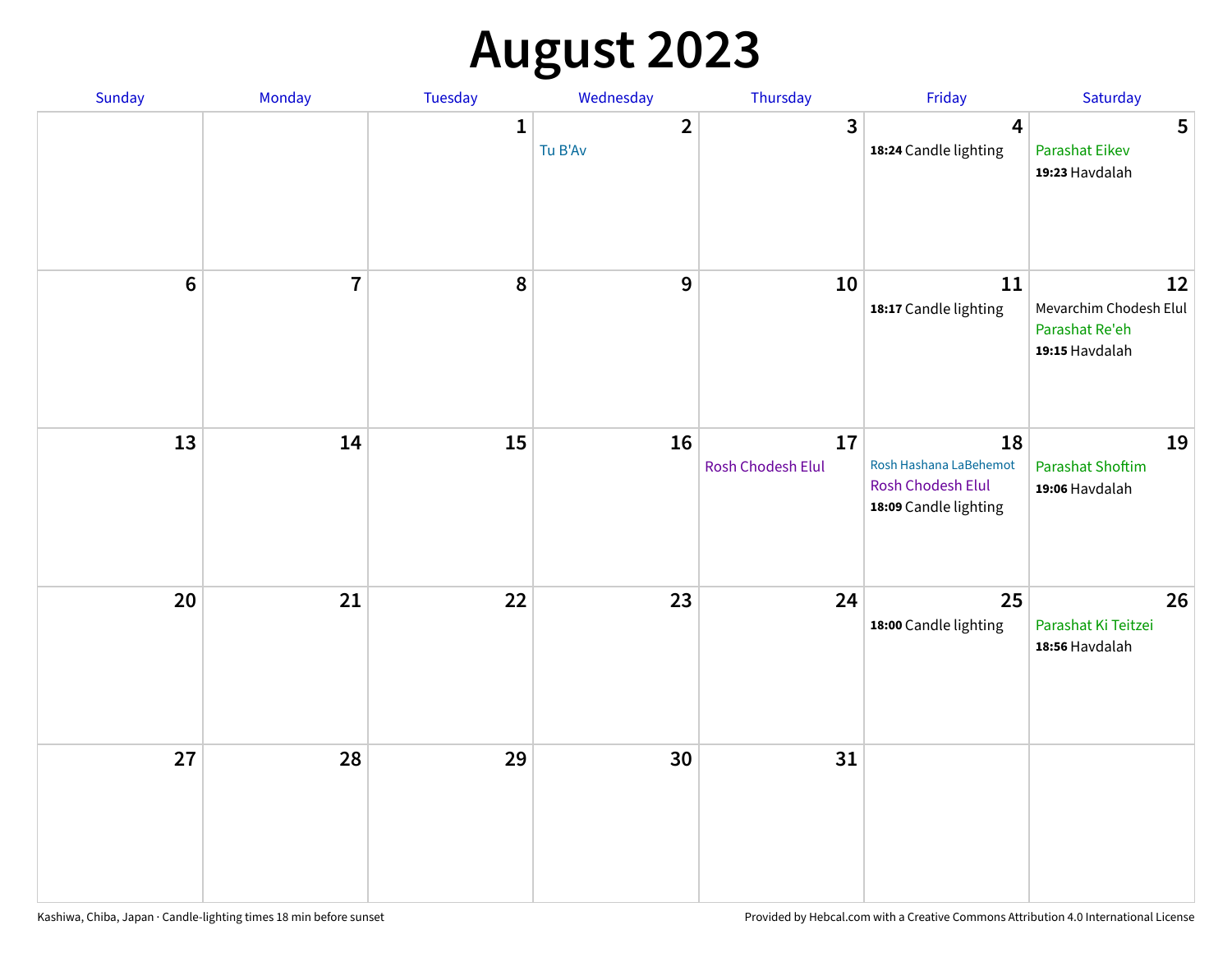# **August 2023**

| Sunday         | Monday         | Tuesday      | Wednesday                 | Thursday                | Friday                                                                     | Saturday                                                         |
|----------------|----------------|--------------|---------------------------|-------------------------|----------------------------------------------------------------------------|------------------------------------------------------------------|
|                |                | $\mathbf{1}$ | $\overline{2}$<br>Tu B'Av | $\overline{3}$          | $\overline{\mathbf{4}}$<br>18:24 Candle lighting                           | 5<br><b>Parashat Eikev</b><br>19:23 Havdalah                     |
| $6\phantom{1}$ | $\overline{7}$ | 8            | $\boldsymbol{9}$          | 10                      | ${\bf 11}$<br>18:17 Candle lighting                                        | 12<br>Mevarchim Chodesh Elul<br>Parashat Re'eh<br>19:15 Havdalah |
| 13             | 14             | 15           | 16                        | 17<br>Rosh Chodesh Elul | 18<br>Rosh Hashana LaBehemot<br>Rosh Chodesh Elul<br>18:09 Candle lighting | 19<br><b>Parashat Shoftim</b><br>19:06 Havdalah                  |
| 20             | 21             | 22           | 23                        | 24                      | 25<br>18:00 Candle lighting                                                | 26<br>Parashat Ki Teitzei<br>18:56 Havdalah                      |
| 27             | 28             | 29           | 30                        | 31                      |                                                                            |                                                                  |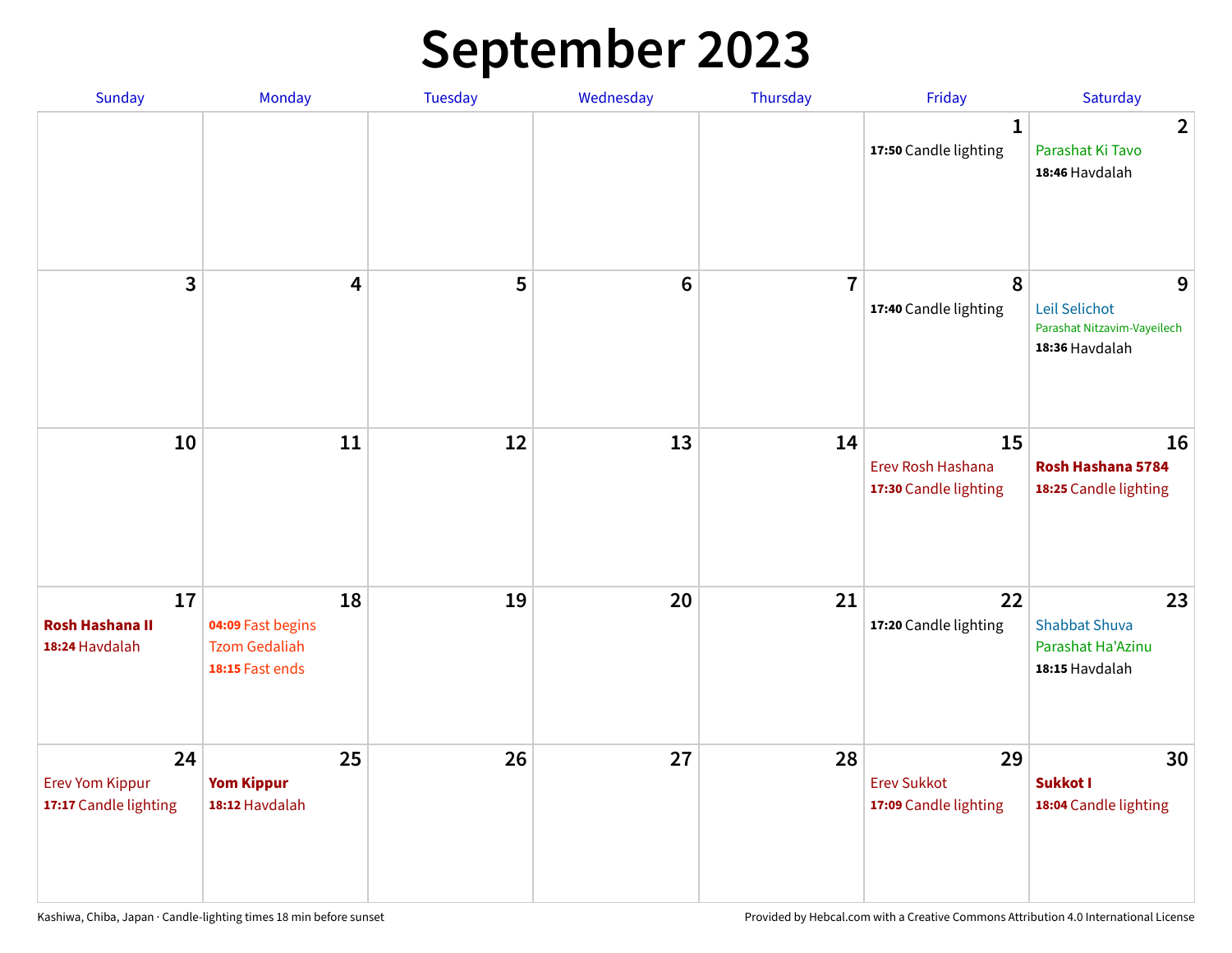## **September 2023**

| Sunday                                                | Monday                                                             | <b>Tuesday</b> | Wednesday       | Thursday       | Friday                                            | Saturday                                                            |
|-------------------------------------------------------|--------------------------------------------------------------------|----------------|-----------------|----------------|---------------------------------------------------|---------------------------------------------------------------------|
|                                                       |                                                                    |                |                 |                | 1<br>17:50 Candle lighting                        | $\overline{2}$<br>Parashat Ki Tavo<br>18:46 Havdalah                |
| 3                                                     | $\overline{\mathbf{4}}$                                            | 5              | $6\phantom{1}6$ | $\overline{7}$ | 8<br>17:40 Candle lighting                        | 9<br>Leil Selichot<br>Parashat Nitzavim-Vayeilech<br>18:36 Havdalah |
| 10                                                    | 11                                                                 | 12             | 13              | 14             | 15<br>Erev Rosh Hashana<br>17:30 Candle lighting  | 16<br>Rosh Hashana 5784<br>18:25 Candle lighting                    |
| 17<br><b>Rosh Hashana II</b><br>18:24 Havdalah        | 18<br>04:09 Fast begins<br><b>Tzom Gedaliah</b><br>18:15 Fast ends | 19             | 20              | 21             | 22<br>17:20 Candle lighting                       | 23<br><b>Shabbat Shuva</b><br>Parashat Ha'Azinu<br>18:15 Havdalah   |
| 24<br><b>Erev Yom Kippur</b><br>17:17 Candle lighting | 25<br><b>Yom Kippur</b><br>18:12 Havdalah                          | 26             | 27              | 28             | 29<br><b>Erev Sukkot</b><br>17:09 Candle lighting | 30<br>Sukkot I<br>18:04 Candle lighting                             |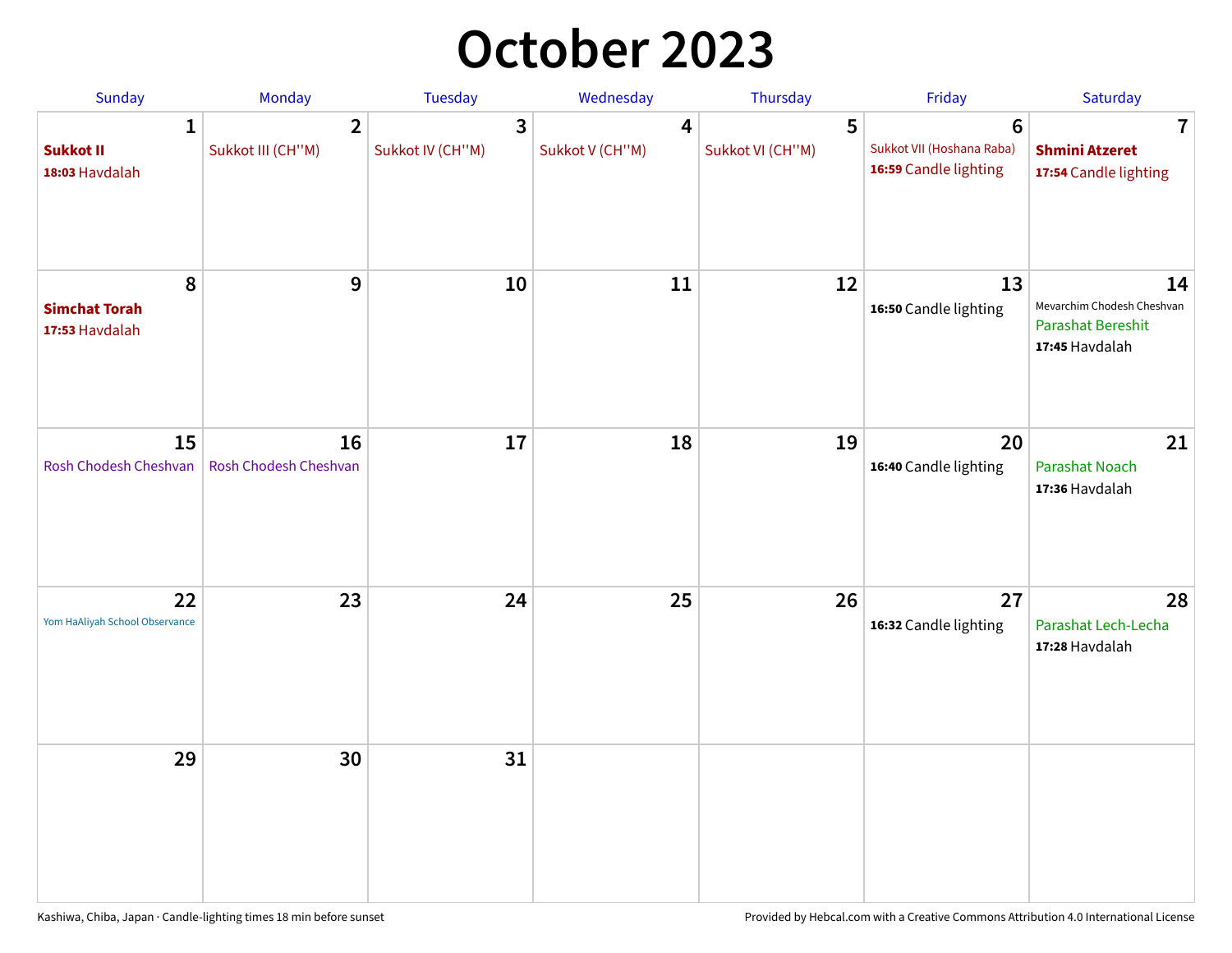### **October 2023**

| Sunday                                             | Monday                              | <b>Tuesday</b>        | Wednesday                         | Thursday              | Friday                                                               | Saturday                                                                       |
|----------------------------------------------------|-------------------------------------|-----------------------|-----------------------------------|-----------------------|----------------------------------------------------------------------|--------------------------------------------------------------------------------|
| $\mathbf{1}$<br><b>Sukkot II</b><br>18:03 Havdalah | $\overline{2}$<br>Sukkot III (CH"M) | 3<br>Sukkot IV (CH"M) | $\overline{4}$<br>Sukkot V (CH"M) | 5<br>Sukkot VI (CH"M) | $6\phantom{1}$<br>Sukkot VII (Hoshana Raba)<br>16:59 Candle lighting | $\overline{\mathbf{7}}$<br><b>Shmini Atzeret</b><br>17:54 Candle lighting      |
| 8<br><b>Simchat Torah</b><br>17:53 Havdalah        | 9                                   | 10                    | 11                                | 12                    | 13<br>16:50 Candle lighting                                          | 14<br>Mevarchim Chodesh Cheshvan<br><b>Parashat Bereshit</b><br>17:45 Havdalah |
| 15<br>Rosh Chodesh Cheshvan                        | 16<br>Rosh Chodesh Cheshvan         | 17                    | 18                                | 19                    | 20<br>16:40 Candle lighting                                          | 21<br>Parashat Noach<br>17:36 Havdalah                                         |
| 22<br>Yom HaAliyah School Observance               | 23                                  | 24                    | 25                                | 26                    | 27<br>16:32 Candle lighting                                          | 28<br>Parashat Lech-Lecha<br>17:28 Havdalah                                    |
| 29                                                 | 30                                  | 31                    |                                   |                       |                                                                      |                                                                                |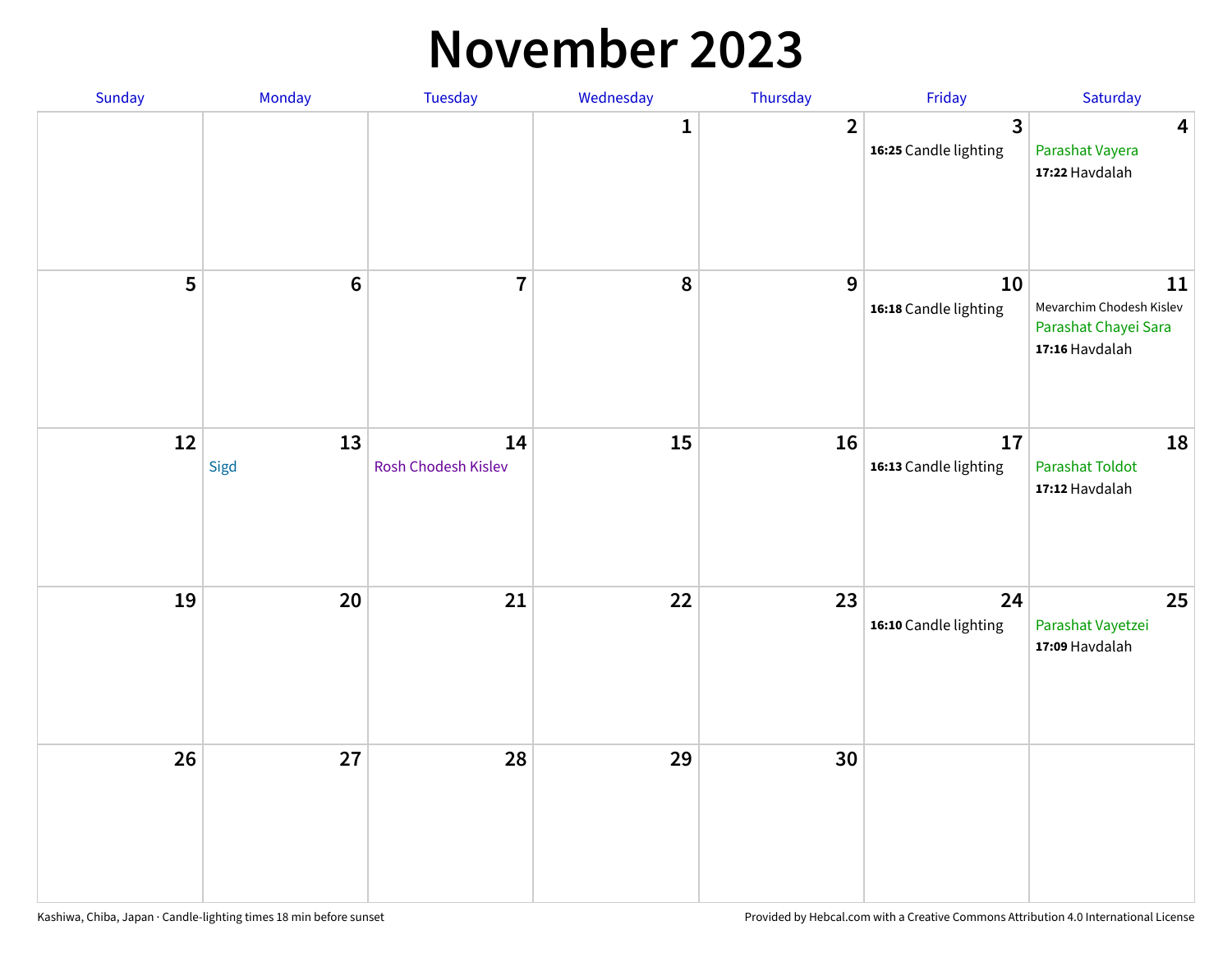#### **November 2023**

| Sunday | Monday          | Tuesday                   | Wednesday    | Thursday       | Friday                      | Saturday                                                                 |
|--------|-----------------|---------------------------|--------------|----------------|-----------------------------|--------------------------------------------------------------------------|
|        |                 |                           | $\mathbf{1}$ | $\overline{2}$ | 3<br>16:25 Candle lighting  | $\overline{\mathbf{4}}$<br>Parashat Vayera<br>17:22 Havdalah             |
| 5      | $6\phantom{1}6$ | $\overline{\mathbf{7}}$   | 8            | 9              | 10<br>16:18 Candle lighting | 11<br>Mevarchim Chodesh Kislev<br>Parashat Chayei Sara<br>17:16 Havdalah |
| 12     | 13<br>Sigd      | 14<br>Rosh Chodesh Kislev | 15           | 16             | 17<br>16:13 Candle lighting | 18<br><b>Parashat Toldot</b><br>17:12 Havdalah                           |
| 19     | 20              | 21                        | 22           | 23             | 24<br>16:10 Candle lighting | 25<br>Parashat Vayetzei<br>17:09 Havdalah                                |
| 26     | 27              | 28                        | 29           | 30             |                             |                                                                          |